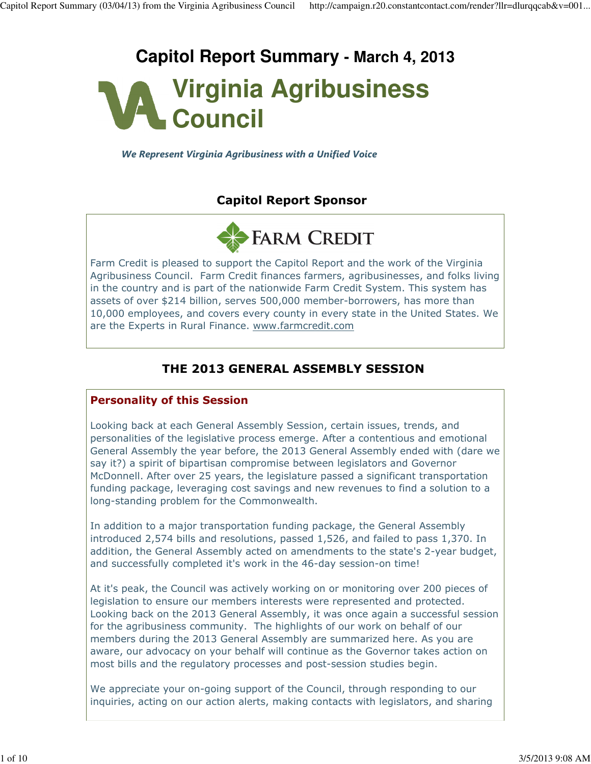# **Capitol Report Summary - March 4, 2013 Virginia Agribusiness Council**

We Represent Virginia Agribusiness with a Unified Voice

## Capitol Report Sponsor



Farm Credit is pleased to support the Capitol Report and the work of the Virginia Agribusiness Council. Farm Credit finances farmers, agribusinesses, and folks living in the country and is part of the nationwide Farm Credit System. This system has assets of over \$214 billion, serves 500,000 member-borrowers, has more than 10,000 employees, and covers every county in every state in the United States. We are the Experts in Rural Finance. www.farmcredit.com

## THE 2013 GENERAL ASSEMBLY SESSION

## Personality of this Session

Looking back at each General Assembly Session, certain issues, trends, and personalities of the legislative process emerge. After a contentious and emotional General Assembly the year before, the 2013 General Assembly ended with (dare we say it?) a spirit of bipartisan compromise between legislators and Governor McDonnell. After over 25 years, the legislature passed a significant transportation funding package, leveraging cost savings and new revenues to find a solution to a long-standing problem for the Commonwealth.

In addition to a major transportation funding package, the General Assembly introduced 2,574 bills and resolutions, passed 1,526, and failed to pass 1,370. In addition, the General Assembly acted on amendments to the state's 2-year budget, and successfully completed it's work in the 46-day session-on time!

At it's peak, the Council was actively working on or monitoring over 200 pieces of legislation to ensure our members interests were represented and protected. Looking back on the 2013 General Assembly, it was once again a successful session for the agribusiness community. The highlights of our work on behalf of our members during the 2013 General Assembly are summarized here. As you are aware, our advocacy on your behalf will continue as the Governor takes action on most bills and the regulatory processes and post-session studies begin.

We appreciate your on-going support of the Council, through responding to our inquiries, acting on our action alerts, making contacts with legislators, and sharing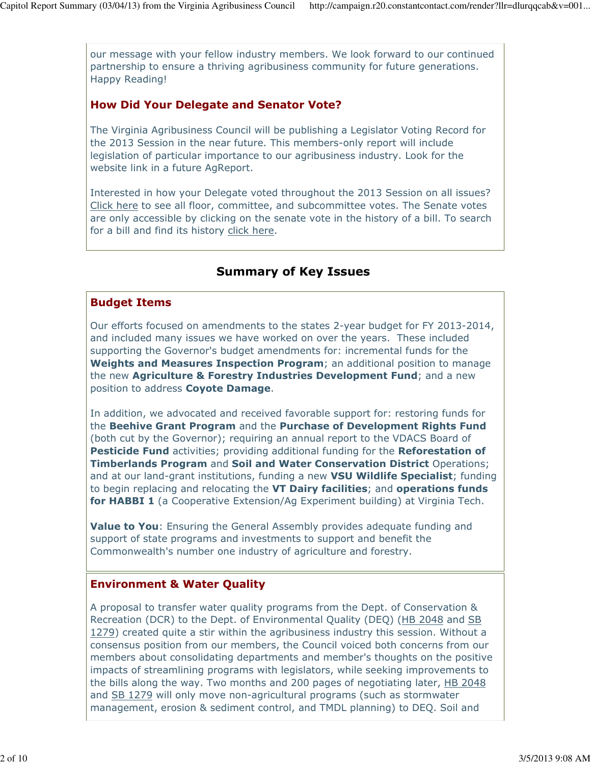our message with your fellow industry members. We look forward to our continued partnership to ensure a thriving agribusiness community for future generations. Happy Reading!

## How Did Your Delegate and Senator Vote?

The Virginia Agribusiness Council will be publishing a Legislator Voting Record for the 2013 Session in the near future. This members-only report will include legislation of particular importance to our agribusiness industry. Look for the website link in a future AgReport.

Interested in how your Delegate voted throughout the 2013 Session on all issues? Click here to see all floor, committee, and subcommittee votes. The Senate votes are only accessible by clicking on the senate vote in the history of a bill. To search for a bill and find its history click here.

# Summary of Key Issues

## Budget Items

Our efforts focused on amendments to the states 2-year budget for FY 2013-2014, and included many issues we have worked on over the years. These included supporting the Governor's budget amendments for: incremental funds for the Weights and Measures Inspection Program; an additional position to manage the new Agriculture & Forestry Industries Development Fund; and a new position to address Coyote Damage.

In addition, we advocated and received favorable support for: restoring funds for the Beehive Grant Program and the Purchase of Development Rights Fund (both cut by the Governor); requiring an annual report to the VDACS Board of Pesticide Fund activities; providing additional funding for the Reforestation of Timberlands Program and Soil and Water Conservation District Operations; and at our land-grant institutions, funding a new VSU Wildlife Specialist; funding to begin replacing and relocating the VT Dairy facilities; and operations funds for HABBI 1 (a Cooperative Extension/Ag Experiment building) at Virginia Tech.

Value to You: Ensuring the General Assembly provides adequate funding and support of state programs and investments to support and benefit the Commonwealth's number one industry of agriculture and forestry.

## Environment & Water Quality

A proposal to transfer water quality programs from the Dept. of Conservation & Recreation (DCR) to the Dept. of Environmental Quality (DEQ) (HB 2048 and SB 1279) created quite a stir within the agribusiness industry this session. Without a consensus position from our members, the Council voiced both concerns from our members about consolidating departments and member's thoughts on the positive impacts of streamlining programs with legislators, while seeking improvements to the bills along the way. Two months and 200 pages of negotiating later, HB 2048 and SB 1279 will only move non-agricultural programs (such as stormwater management, erosion & sediment control, and TMDL planning) to DEQ. Soil and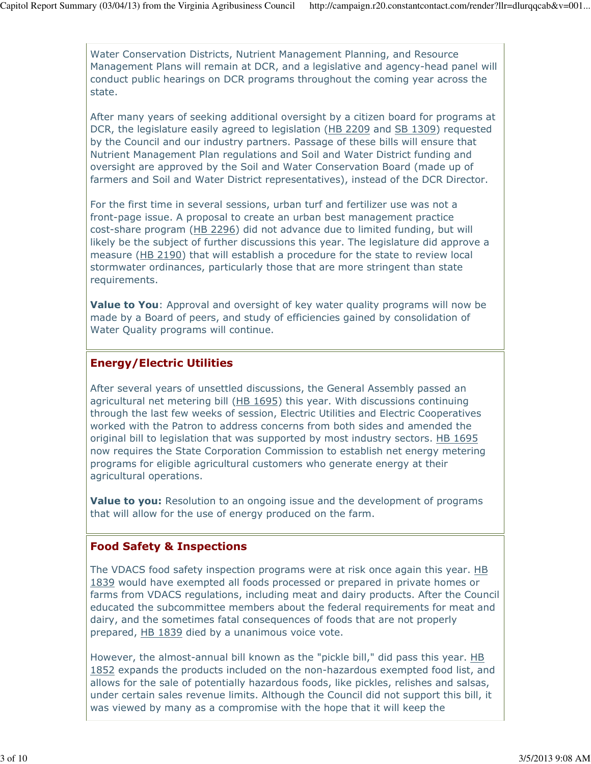Water Conservation Districts, Nutrient Management Planning, and Resource Management Plans will remain at DCR, and a legislative and agency-head panel will conduct public hearings on DCR programs throughout the coming year across the state.

After many years of seeking additional oversight by a citizen board for programs at DCR, the legislature easily agreed to legislation (HB 2209 and SB 1309) requested by the Council and our industry partners. Passage of these bills will ensure that Nutrient Management Plan regulations and Soil and Water District funding and oversight are approved by the Soil and Water Conservation Board (made up of farmers and Soil and Water District representatives), instead of the DCR Director.

For the first time in several sessions, urban turf and fertilizer use was not a front-page issue. A proposal to create an urban best management practice cost-share program (HB 2296) did not advance due to limited funding, but will likely be the subject of further discussions this year. The legislature did approve a measure (HB 2190) that will establish a procedure for the state to review local stormwater ordinances, particularly those that are more stringent than state requirements.

**Value to You**: Approval and oversight of key water quality programs will now be made by a Board of peers, and study of efficiencies gained by consolidation of Water Quality programs will continue.

## Energy/Electric Utilities

After several years of unsettled discussions, the General Assembly passed an agricultural net metering bill (HB 1695) this year. With discussions continuing through the last few weeks of session, Electric Utilities and Electric Cooperatives worked with the Patron to address concerns from both sides and amended the original bill to legislation that was supported by most industry sectors. HB 1695 now requires the State Corporation Commission to establish net energy metering programs for eligible agricultural customers who generate energy at their agricultural operations.

**Value to you:** Resolution to an ongoing issue and the development of programs that will allow for the use of energy produced on the farm.

## Food Safety & Inspections

The VDACS food safety inspection programs were at risk once again this year. HB 1839 would have exempted all foods processed or prepared in private homes or farms from VDACS regulations, including meat and dairy products. After the Council educated the subcommittee members about the federal requirements for meat and dairy, and the sometimes fatal consequences of foods that are not properly prepared, HB 1839 died by a unanimous voice vote.

However, the almost-annual bill known as the "pickle bill," did pass this year. HB 1852 expands the products included on the non-hazardous exempted food list, and allows for the sale of potentially hazardous foods, like pickles, relishes and salsas, under certain sales revenue limits. Although the Council did not support this bill, it was viewed by many as a compromise with the hope that it will keep the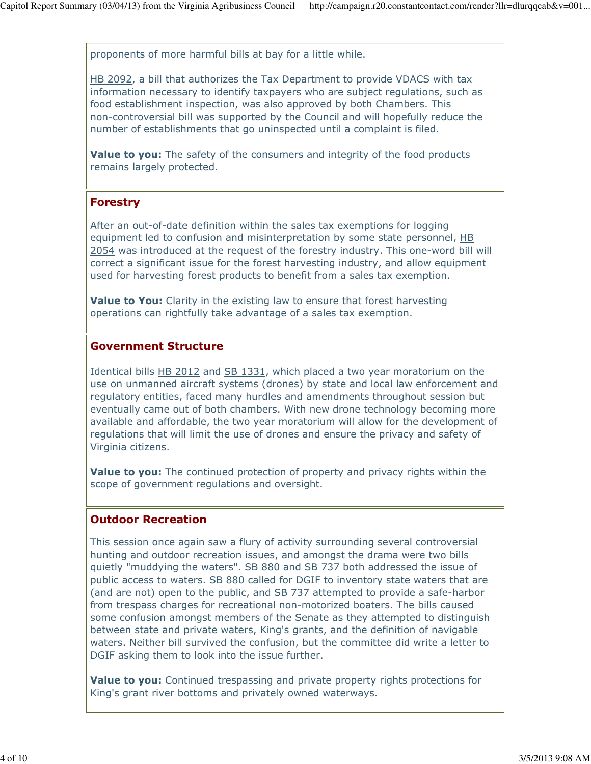proponents of more harmful bills at bay for a little while.

HB 2092, a bill that authorizes the Tax Department to provide VDACS with tax information necessary to identify taxpayers who are subject regulations, such as food establishment inspection, was also approved by both Chambers. This non-controversial bill was supported by the Council and will hopefully reduce the number of establishments that go uninspected until a complaint is filed.

Value to you: The safety of the consumers and integrity of the food products remains largely protected.

#### Forestry

After an out-of-date definition within the sales tax exemptions for logging equipment led to confusion and misinterpretation by some state personnel, HB 2054 was introduced at the request of the forestry industry. This one-word bill will correct a significant issue for the forest harvesting industry, and allow equipment used for harvesting forest products to benefit from a sales tax exemption.

**Value to You:** Clarity in the existing law to ensure that forest harvesting operations can rightfully take advantage of a sales tax exemption.

#### Government Structure

Identical bills HB 2012 and SB 1331, which placed a two year moratorium on the use on unmanned aircraft systems (drones) by state and local law enforcement and regulatory entities, faced many hurdles and amendments throughout session but eventually came out of both chambers. With new drone technology becoming more available and affordable, the two year moratorium will allow for the development of regulations that will limit the use of drones and ensure the privacy and safety of Virginia citizens.

Value to you: The continued protection of property and privacy rights within the scope of government regulations and oversight.

#### Outdoor Recreation

This session once again saw a flury of activity surrounding several controversial hunting and outdoor recreation issues, and amongst the drama were two bills quietly "muddying the waters". SB 880 and SB 737 both addressed the issue of public access to waters. SB 880 called for DGIF to inventory state waters that are (and are not) open to the public, and SB 737 attempted to provide a safe-harbor from trespass charges for recreational non-motorized boaters. The bills caused some confusion amongst members of the Senate as they attempted to distinguish between state and private waters, King's grants, and the definition of navigable waters. Neither bill survived the confusion, but the committee did write a letter to DGIF asking them to look into the issue further.

Value to you: Continued trespassing and private property rights protections for King's grant river bottoms and privately owned waterways.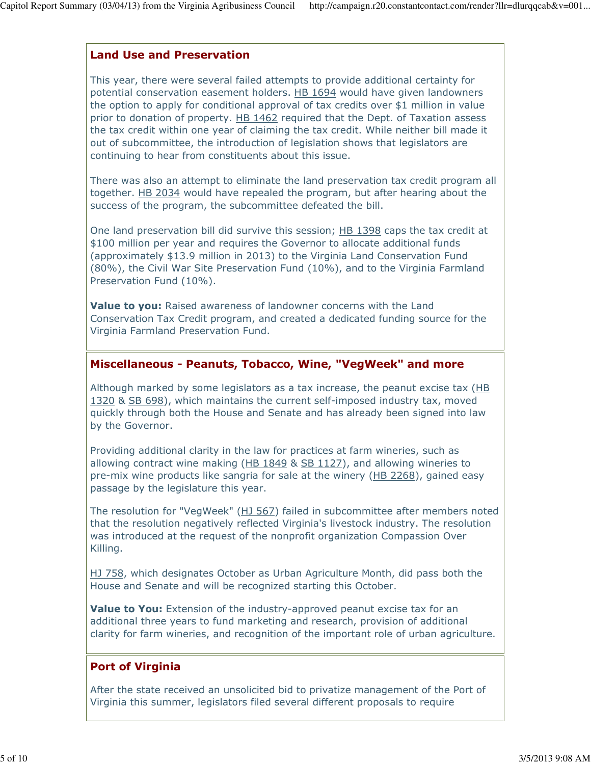## Land Use and Preservation

This year, there were several failed attempts to provide additional certainty for potential conservation easement holders. HB 1694 would have given landowners the option to apply for conditional approval of tax credits over \$1 million in value prior to donation of property. HB 1462 required that the Dept. of Taxation assess the tax credit within one year of claiming the tax credit. While neither bill made it out of subcommittee, the introduction of legislation shows that legislators are continuing to hear from constituents about this issue.

There was also an attempt to eliminate the land preservation tax credit program all together. HB 2034 would have repealed the program, but after hearing about the success of the program, the subcommittee defeated the bill.

One land preservation bill did survive this session; HB 1398 caps the tax credit at \$100 million per year and requires the Governor to allocate additional funds (approximately \$13.9 million in 2013) to the Virginia Land Conservation Fund (80%), the Civil War Site Preservation Fund (10%), and to the Virginia Farmland Preservation Fund (10%).

Value to you: Raised awareness of landowner concerns with the Land Conservation Tax Credit program, and created a dedicated funding source for the Virginia Farmland Preservation Fund.

## Miscellaneous - Peanuts, Tobacco, Wine, "VegWeek" and more

Although marked by some legislators as a tax increase, the peanut excise tax (HB 1320 & SB 698), which maintains the current self-imposed industry tax, moved quickly through both the House and Senate and has already been signed into law by the Governor.

Providing additional clarity in the law for practices at farm wineries, such as allowing contract wine making (HB 1849 & SB 1127), and allowing wineries to pre-mix wine products like sangria for sale at the winery (HB 2268), gained easy passage by the legislature this year.

The resolution for "VegWeek" (HJ 567) failed in subcommittee after members noted that the resolution negatively reflected Virginia's livestock industry. The resolution was introduced at the request of the nonprofit organization Compassion Over Killing.

HJ 758, which designates October as Urban Agriculture Month, did pass both the House and Senate and will be recognized starting this October.

Value to You: Extension of the industry-approved peanut excise tax for an additional three years to fund marketing and research, provision of additional clarity for farm wineries, and recognition of the important role of urban agriculture.

# Port of Virginia

After the state received an unsolicited bid to privatize management of the Port of Virginia this summer, legislators filed several different proposals to require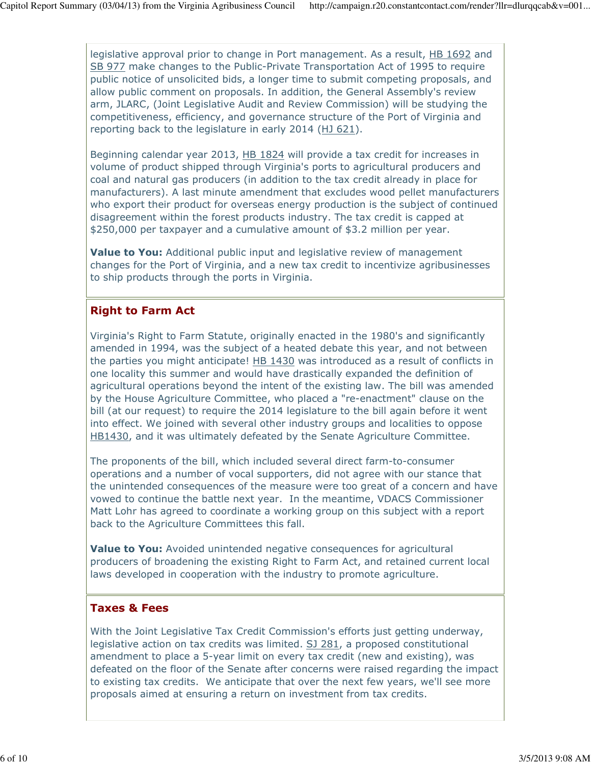legislative approval prior to change in Port management. As a result, HB 1692 and SB 977 make changes to the Public-Private Transportation Act of 1995 to require public notice of unsolicited bids, a longer time to submit competing proposals, and allow public comment on proposals. In addition, the General Assembly's review arm, JLARC, (Joint Legislative Audit and Review Commission) will be studying the competitiveness, efficiency, and governance structure of the Port of Virginia and reporting back to the legislature in early 2014 (HJ 621).

Beginning calendar year 2013, HB 1824 will provide a tax credit for increases in volume of product shipped through Virginia's ports to agricultural producers and coal and natural gas producers (in addition to the tax credit already in place for manufacturers). A last minute amendment that excludes wood pellet manufacturers who export their product for overseas energy production is the subject of continued disagreement within the forest products industry. The tax credit is capped at \$250,000 per taxpayer and a cumulative amount of \$3.2 million per year.

Value to You: Additional public input and legislative review of management changes for the Port of Virginia, and a new tax credit to incentivize agribusinesses to ship products through the ports in Virginia.

# Right to Farm Act

Virginia's Right to Farm Statute, originally enacted in the 1980's and significantly amended in 1994, was the subject of a heated debate this year, and not between the parties you might anticipate! HB 1430 was introduced as a result of conflicts in one locality this summer and would have drastically expanded the definition of agricultural operations beyond the intent of the existing law. The bill was amended by the House Agriculture Committee, who placed a "re-enactment" clause on the bill (at our request) to require the 2014 legislature to the bill again before it went into effect. We joined with several other industry groups and localities to oppose HB1430, and it was ultimately defeated by the Senate Agriculture Committee.

The proponents of the bill, which included several direct farm-to-consumer operations and a number of vocal supporters, did not agree with our stance that the unintended consequences of the measure were too great of a concern and have vowed to continue the battle next year. In the meantime, VDACS Commissioner Matt Lohr has agreed to coordinate a working group on this subject with a report back to the Agriculture Committees this fall.

Value to You: Avoided unintended negative consequences for agricultural producers of broadening the existing Right to Farm Act, and retained current local laws developed in cooperation with the industry to promote agriculture.

# Taxes & Fees

With the Joint Legislative Tax Credit Commission's efforts just getting underway, legislative action on tax credits was limited. SJ 281, a proposed constitutional amendment to place a 5-year limit on every tax credit (new and existing), was defeated on the floor of the Senate after concerns were raised regarding the impact to existing tax credits. We anticipate that over the next few years, we'll see more proposals aimed at ensuring a return on investment from tax credits.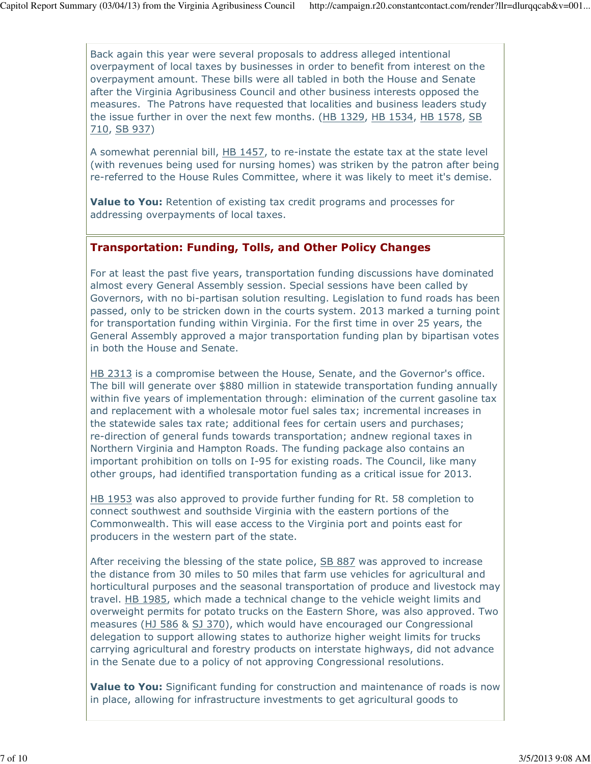Back again this year were several proposals to address alleged intentional overpayment of local taxes by businesses in order to benefit from interest on the overpayment amount. These bills were all tabled in both the House and Senate after the Virginia Agribusiness Council and other business interests opposed the measures. The Patrons have requested that localities and business leaders study the issue further in over the next few months. (HB 1329, HB 1534, HB 1578, SB 710, SB 937)

A somewhat perennial bill, HB 1457, to re-instate the estate tax at the state level (with revenues being used for nursing homes) was striken by the patron after being re-referred to the House Rules Committee, where it was likely to meet it's demise.

Value to You: Retention of existing tax credit programs and processes for addressing overpayments of local taxes.

## Transportation: Funding, Tolls, and Other Policy Changes

For at least the past five years, transportation funding discussions have dominated almost every General Assembly session. Special sessions have been called by Governors, with no bi-partisan solution resulting. Legislation to fund roads has been passed, only to be stricken down in the courts system. 2013 marked a turning point for transportation funding within Virginia. For the first time in over 25 years, the General Assembly approved a major transportation funding plan by bipartisan votes in both the House and Senate.

HB 2313 is a compromise between the House, Senate, and the Governor's office. The bill will generate over \$880 million in statewide transportation funding annually within five years of implementation through: elimination of the current gasoline tax and replacement with a wholesale motor fuel sales tax; incremental increases in the statewide sales tax rate; additional fees for certain users and purchases; re-direction of general funds towards transportation; andnew regional taxes in Northern Virginia and Hampton Roads. The funding package also contains an important prohibition on tolls on I-95 for existing roads. The Council, like many other groups, had identified transportation funding as a critical issue for 2013.

HB 1953 was also approved to provide further funding for Rt. 58 completion to connect southwest and southside Virginia with the eastern portions of the Commonwealth. This will ease access to the Virginia port and points east for producers in the western part of the state.

After receiving the blessing of the state police, SB 887 was approved to increase the distance from 30 miles to 50 miles that farm use vehicles for agricultural and horticultural purposes and the seasonal transportation of produce and livestock may travel. HB 1985, which made a technical change to the vehicle weight limits and overweight permits for potato trucks on the Eastern Shore, was also approved. Two measures (HJ 586 & SJ 370), which would have encouraged our Congressional delegation to support allowing states to authorize higher weight limits for trucks carrying agricultural and forestry products on interstate highways, did not advance in the Senate due to a policy of not approving Congressional resolutions.

Value to You: Significant funding for construction and maintenance of roads is now in place, allowing for infrastructure investments to get agricultural goods to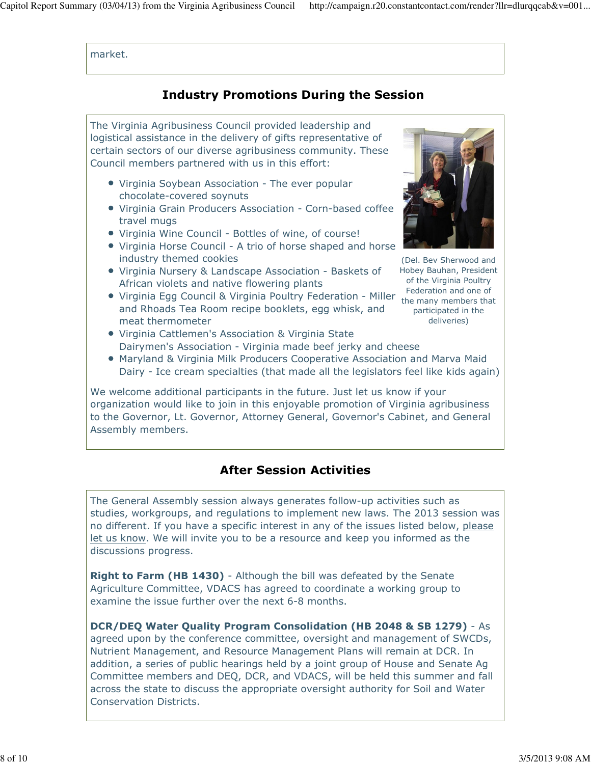market.

## Industry Promotions During the Session

Virginia Egg Council & Virginia Poultry Federation - Miller the many members that deliveries) The Virginia Agribusiness Council provided leadership and logistical assistance in the delivery of gifts representative of certain sectors of our diverse agribusiness community. These Council members partnered with us in this effort: Virginia Soybean Association - The ever popular chocolate-covered soynuts Virginia Grain Producers Association - Corn-based coffee travel mugs Virginia Wine Council - Bottles of wine, of course! Virginia Horse Council - A trio of horse shaped and horse industry themed cookies Virginia Nursery & Landscape Association - Baskets of African violets and native flowering plants and Rhoads Tea Room recipe booklets, egg whisk, and meat thermometer



(Del. Bev Sherwood and Hobey Bauhan, President of the Virginia Poultry Federation and one of participated in the

- Virginia Cattlemen's Association & Virginia State Dairymen's Association - Virginia made beef jerky and cheese
- **Maryland & Virginia Milk Producers Cooperative Association and Marva Maid** Dairy - Ice cream specialties (that made all the legislators feel like kids again)

We welcome additional participants in the future. Just let us know if your organization would like to join in this enjoyable promotion of Virginia agribusiness to the Governor, Lt. Governor, Attorney General, Governor's Cabinet, and General Assembly members.

## After Session Activities

The General Assembly session always generates follow-up activities such as studies, workgroups, and regulations to implement new laws. The 2013 session was no different. If you have a specific interest in any of the issues listed below, please let us know. We will invite you to be a resource and keep you informed as the discussions progress.

Right to Farm (HB 1430) - Although the bill was defeated by the Senate Agriculture Committee, VDACS has agreed to coordinate a working group to examine the issue further over the next 6-8 months.

DCR/DEQ Water Quality Program Consolidation (HB 2048 & SB 1279) - As agreed upon by the conference committee, oversight and management of SWCDs, Nutrient Management, and Resource Management Plans will remain at DCR. In addition, a series of public hearings held by a joint group of House and Senate Ag Committee members and DEQ, DCR, and VDACS, will be held this summer and fall across the state to discuss the appropriate oversight authority for Soil and Water Conservation Districts.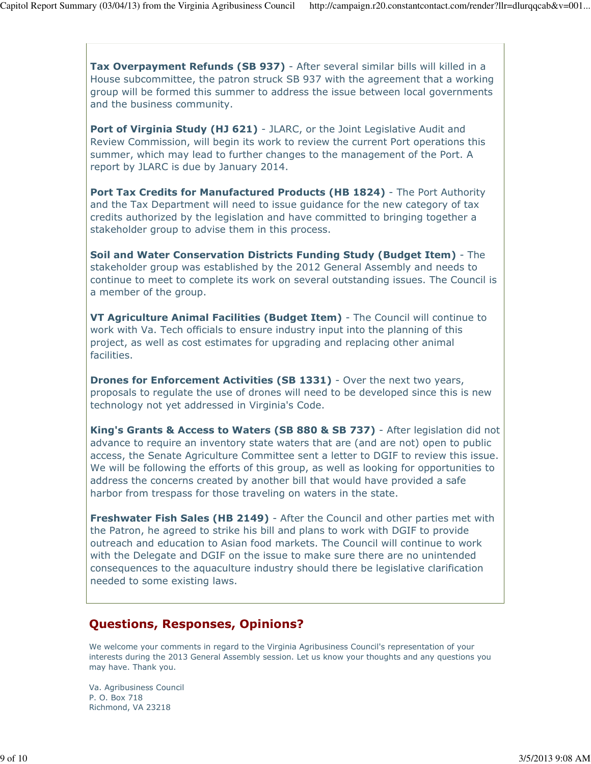Tax Overpayment Refunds (SB 937) - After several similar bills will killed in a House subcommittee, the patron struck SB 937 with the agreement that a working group will be formed this summer to address the issue between local governments and the business community.

Port of Virginia Study (HJ 621) - JLARC, or the Joint Legislative Audit and Review Commission, will begin its work to review the current Port operations this summer, which may lead to further changes to the management of the Port. A report by JLARC is due by January 2014.

Port Tax Credits for Manufactured Products (HB 1824) - The Port Authority and the Tax Department will need to issue guidance for the new category of tax credits authorized by the legislation and have committed to bringing together a stakeholder group to advise them in this process.

Soil and Water Conservation Districts Funding Study (Budget Item) - The stakeholder group was established by the 2012 General Assembly and needs to continue to meet to complete its work on several outstanding issues. The Council is a member of the group.

VT Agriculture Animal Facilities (Budget Item) - The Council will continue to work with Va. Tech officials to ensure industry input into the planning of this project, as well as cost estimates for upgrading and replacing other animal facilities.

**Drones for Enforcement Activities (SB 1331)** - Over the next two years, proposals to regulate the use of drones will need to be developed since this is new technology not yet addressed in Virginia's Code.

King's Grants & Access to Waters (SB 880 & SB 737) - After legislation did not advance to require an inventory state waters that are (and are not) open to public access, the Senate Agriculture Committee sent a letter to DGIF to review this issue. We will be following the efforts of this group, as well as looking for opportunities to address the concerns created by another bill that would have provided a safe harbor from trespass for those traveling on waters in the state.

Freshwater Fish Sales (HB 2149) - After the Council and other parties met with the Patron, he agreed to strike his bill and plans to work with DGIF to provide outreach and education to Asian food markets. The Council will continue to work with the Delegate and DGIF on the issue to make sure there are no unintended consequences to the aquaculture industry should there be legislative clarification needed to some existing laws.

# Questions, Responses, Opinions?

We welcome your comments in regard to the Virginia Agribusiness Council's representation of your interests during the 2013 General Assembly session. Let us know your thoughts and any questions you may have. Thank you.

Va. Agribusiness Council P. O. Box 718 Richmond, VA 23218